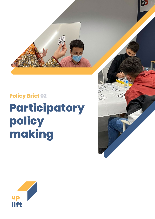

# **making**

# **Policy Brief 02 Participatory policy**

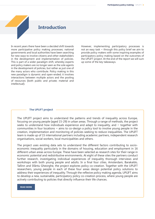# **Introduction**

In recent years there have been a decided shift towards more participative policy making processes; national governments and local authorities have been searching for new ways to involve citizens and other stakeholders in the development and implementation of policies. This is part of a wider paradigm shift, whereby experts and policy makers are no longer seen as the sole agents in the development of policies, but rather as just one of the many actors who contribute. Policy making in this new paradigm is dynamic and open-ended; it involves interactions between multiple actors and the pooling of resources (both public and private; material and intellectual).

However, implementing participatory processes is not an easy task – through this policy brief we aim to provide policy makers with some inspiring examples of participatory policy making based on the outcomes of the UPLIFT project. At the end of the report we will sum up some of the key takeaways.

#### **The UPLIFT project**

The UPLIFT project aims to understand the patterns and trends of inequality across Europe, focusing on young people (aged 15-29) in urban areas. Through a range of methods, the project seeks to understand how individuals experience and adapt to inequality, and  $-$  together with communities in four locations – aims to co-design a policy tool to involve young people in the creation, implementation and monitoring of policies seeking to reduce inequalities. The UPLIFT team is made up of 15 international partners including academic partners, independent research organisations, social workers, local municipalities and others.

The project uses existing data sets to understand the different factors contributing to socioeconomic inequality particularly in the domains of housing, education and employment in 16 different urban areas across Europe. These have been selected as research sites for their range in economic potential and redistributive environments. At eight of these sites the partners conduct further research, investigating individual experiences of inequality thorough interviews and workshops with both young people and adults. In a final four cities, Amsterdam, Barakaldo, Tallinn and Sfântu Gheorghe, the project explores policy co-creation. Together with the UPLIFT researchers, young people in each of these four areas design potential policy solutions to address their experiences of inequality. Through the reflexive policy making agenda, UPLIFT aims to develop a new, sustainable, participatory policy co-creation process, where young people are actively contributing to policies that directly influence their life chances.

#### **[READ MORE](https://www.uplift-youth.eu/)**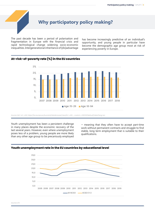# **Why participatory policy making?**

The past decade has been a period of polarisation and fragmentation in Europe with the financial crisis and rapid technological change widening socio-economic inequalities. Intergenerational inheritance of (dis)advantage

has become increasingly predictive of an individual's opportunity, and young people in particular have become the demographic age group most at risk of experiencing poverty in Europe.

### **At-risk-of-poverty rate (%) in the EU countries**



Source: SILC, ILC\_LI02, https://ec.europa.eu/eurostat/databrowser/view/ILC\_LI02\_\_custom\_2310331/default/table?lang=en

Youth unemployment has been a persistent challenge in many places despite the economic recovery of the last several years. However, even where unemployment poses less of a problem, young people are more likely than any other age group to be precariously employed

– meaning that they often have to accept part-time work without permanent contracts and struggle to find stable, long term employment that is suitable to their qualifications.



# **Youth unemployment rate in the EU countries by educational level**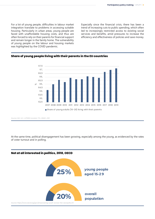For a lot of young people, difficulties in labour market integration translate to problems in accessing suitable housing. Particularly in urban areas, young people are faced with unaffordable housing costs, and thus are often forced to rely on their parents for financial support and remain longer in the family home. The vulnerability of young people on the labour and housing markets was highlighted by the COVID pandemic.

Especially since the financial crisis, there has been a trend of increasing cuts to public spending, which often led to increasingly restricted access to existing social services and benefits, amid pressures to increase the efficiency and effectiveness of policies and save money.

## **Share of young people living with their parents in the EU countries**



Source: SILC, ILC\_LVPS08; Eurostat, YTH\_DEMO\_030

At the same time, political disengagement has been growing, especially among the young, as evidenced by the rates of voter turnout and in polling.

# **Not at all interested in politics, 2018, OECD 25% 20% young people aged 15-2 9 overall population**  Source: https://www.oecd.org/gov/empowering-youth-across-the-oecd.pdf p 16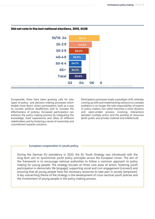

### **Did not vote in the last national elections, 2015, EU28**

Europewide, there have been growing calls for new types of policy- and decision-making processes which enable more direct citizen participation, both as a way to counter political disaffection and to increase the effectiveness of policies. Increased participation can enhance the policy making process by integrating the knowledge, lived experiences and ideas of different stakeholders and by fostering a sense of ownership and commitment towards solutions.

Participatory processes imply a paradigm shift, whereby coming up with and implementing solutions to complex problems is no longer the sole responsibility of experts or policy-makers, but rather becomes a more dynamic and open-ended process involving interactions between multiple actors and the pooling of resources (both public and private; material and intellectual).

#### **European cooperation in youth policy**

During the German EU presidency in 2020, the EU Youth Strategy was introduced with the long-term aim to synchronize youth policy principles across the European Union. The aim of the framework is to encourage national authorities to follow a common approach to policy making for young people. The strategy focuses on three core areas of action: fostering youth participation in democratic life (engage), supporting social and civic engagement (connect) and ensuring that all young people have the necessary resources to take part in society (empower). A key overarching theme of the strategy is the development of cross-sectoral youth policies and the involvement of young people in the policy making process.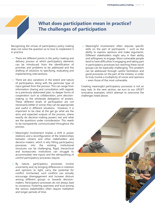# **What does participation mean in practice? The challenges of participation**

Recognising the virtues of participatory policy making does not solve the question as to how to implement it in practice.

- **•** There are different points in the policy making and delivery process at which participatory elements can be introduced; from the identification of priorities and problems to be addressed and the drafting of solutions to specifying, evaluating and implementing interventions.
- There are also variations in the extent and nature of participation, along with the particular type of input gained from the process. This can range from information sharing and consultation with regards to a previously elaborated plan, to deeper forms of cooperation such as collaboration, joint decisionmaking or the wholesale delegation of powers. These different levels of participation are not necessarily better or worse; they can be appropriate and useful in different situations. However, it is important to be clear at the get go what are the aims and expected outputs of the process, where exactly do decision-making powers rest and what are the questions under consideration. This needs to be transparently communicated throughout the process.
- **•** Meaningful involvement implies a shift in power relations and a reconfiguration of the relationships between citizens and other stakeholders and decision-makers, which is why fitting participatory processes into the existing institutional structures can be challenging. Rigid, hierarchical and bureaucratic institutions can struggle to accommodate new inputs and the relinquishing of control participatory processes require.
- By nature, participatory processes involve uncertainty and, by bringing differences in interests and opinions to light, carry the potential for conflict. Unchecked, such conflicts can actually encourage disengagement and increase distrust among different groups or towards decisionmakers. Participatory processes do not always lead to consensus. Fostering openness and trust among the various stakeholders often require mediation and longer periods of time.

• Meaningful involvement often requires specific skills on the part of participants  $-$  such as the ability to express opinions and make arguments. Different stakeholders might vary in their ability and willingness to engage. More vulnerable people tend to have difficulties in engaging and taking part in participatory processes but reaching these social groups can be especially challenging. This problem can be addressed through careful facilitation and good processes on the part of the initiator, in order to truly involve a multiplicity of voices and opinions – even those of the most vulnerable.

Creating meaningful participatory processes is not an easy task. In the next section, we turn to our UPLIFT innovative examples, which attempt to overcome the challenges listed above.

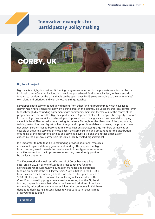

# **Innovative examples for participatory policy making**



#### **Big Local project**

Big Local is a highly innovative UK funding programme launched in the post-crisis era, funded by the National Lottery Community Fund. It is a unique place-based funding mechanism, in that it awards funding to localities on the basis that it can be spent over 10-15 years according to the communities' own plans and priorities and with almost no strings attached.

Developed specifically to be radically different from other funding programmes which have failed deliver meaningful change to many left behind areas in the country, Big Local ensures local control over funds through direct funding agreements with community members themselves. At the centre of the programme are the so-called Big Local partnerships. A group of at least 8 people (the majority of whom live in the Big Local area), the partnership is responsible for creating a shared vision and developing a credible Local Plan, as well as overseeing its delivery. Throughout the lifecourse of the programme, training, networking and light-touch on the ground support is available – however, the program does not expect partnerships to become formal organizations processing large numbers of invoices or capable of delivering services. In most places, the administering and accounting for the distribution of funding or the delivery of activities and services is typically done by another organization chosen by the Big Local partnership (so-called locally trusted organizations).

It is important to note that Big Local funding provides additional resources and cannot replace statutory government funding. This implies that Big Local is more geared towards the development of new types of services and activities, rather than the improvement of existing ones already provided by the local authority.

The Kingswood and Hazel Leys (KHL) ward of Corby became a Big Local area in 2012 – as one of 150 local areas to receive funding. Northamptonshire Community Foundation manages and distributes funding on behalf of the KHL Partnership. A key initiative in the KHL Big Local has been the Community Chest Fund, which offers grants of up to 5000 GBP for projects to improve the wellbeing of local residents. The Chest Fund is a rolling programme aimed at ensuring that the Big Local funding is spent in a way that reflects the ideas and priorities of the local community. Alongside several other activities, the community in KHL have decided to dedicate its Big Local funds towards various initiatives aimed at its young population.

**[READ MORE](https://localtrust.org.uk/big-local/
)**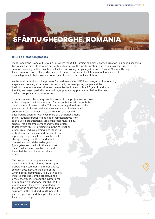# **SFÂNTU GHEORGHE, ROMANIA**

#### **UPLIFT co-creation process**

Sfântu Gheorghe is one of the four cities where the UPLIFT project explores policy co-creation in a period spanning two years. The aim is to develop new policies to improve the local education system in a dynamic process of cocreation involving multiple institutional actors and young people aged between 15 and 24 years. Through the co-creation process the partners hope to create new types of solutions as well as a sense of ownership, which shall provide a sound basis for successful implementation.

As the local facilitators of the process, Suppedito and GAL SEPSI has recognized that opening up a space and creating a framework for reciprocity between young people and the institutional actors requires time and careful facilitation. As such, a 2.5 year time slot in the 3.5 year project period includes a longer preparatory phase, even before the two distinct groups are brought together.

On the one hand, the young people involved in the project learned how to better express their opinions and formulate their needs through the development of personal skills. This was especially significant as the project specifically aims to include vulnerable or disadvantaged youngsters. On the other hand, the creation of trust and encouraging openness was even more of a challenge among the institutional groups – made up of representatives from such diverse organizations such as the local municipality, schools, regional employment and welfare offices, together with NGOs. Participating in the co-creation process required overcoming long standing institutional mechanisms and the skepticism regarding the possibilities for institutional change. Through multiple moderated discussions, both stakeholder groups (youngsters and the institutional actors) developed a shared problem map and identified the most important shared values.

The next phase of the project is the development of the reflexive policy agenda: elaborating a common and realistic policy solution document. At the point of the writing of this document, GAL SEPSI has just initiated this stage of the process. In this phase, the youngsters and the institutional group begin working together, sharing the problem maps they have elaborated on in the previous phase and begin to formulate solutions. In the third and fourth phase, the partners promote and then pilot the policy they have developed.

**[READ MORE](https://www.uplift-youth.eu/insights-reporting/official-deliverables)**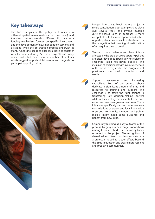# **Key takeaways**

The two examples in this policy brief function in different spatial scales (national vs town level) and the direct outputs are also different. Big Local as a funding mechanism focuses on specific investments and the development of new independent services and activities, while the co-creation process underway in Sfântu Gheorghe seeks to alter local policies together with the local authority. Yet these projects and many others not cited here share a number of features which suggest important takeaways with regards to participatory policy making.





Longer time spans. Much more than just a single consultation, both examples take place over several years and involve multiple distinct phases. Such an approach is more compatible with the more open-ended nature of participatory processes. It is also based on the recognition that meaningful participation often requires time to develop.

Trusting in the experiences and views of those affected by the problem. Participatory policies are often developed specifically to replace or challenge failed top-down policies. The inclusion of participants with lived experiences of the problem may enable the recognition of previously overlooked connections and needs.

Support mechanisms and increasing capabilities. Both of the projects above dedicate a significant amount of time and resources to training and support. The challenge is to strike the right balance in transferring key decision-making powers while not expecting participants to become experts or take over government roles. These initiatives specifically aim to create new new constellations of expert and local knowledge – so both community members and policymakers might need some guidance and benefit from new skills.

Community building as a key outcome of the process. Forging new or stronger connections among those involved is seen as a key knock on effect of the project. The recognition of shared values, interests and common stake in a project is hoped to create effects beyond the issue in question and create more resilient and proactive communities.